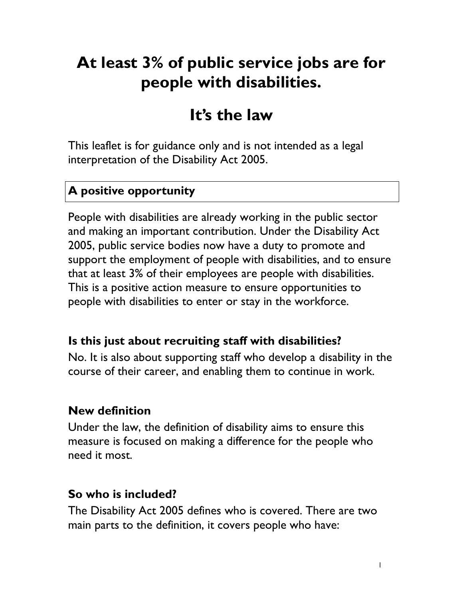# **At least 3% of public service jobs are for people with disabilities.**

# **It's the law**

This leaflet is for guidance only and is not intended as a legal interpretation of the Disability Act 2005.

#### **A positive opportunity**

People with disabilities are already working in the public sector and making an important contribution. Under the Disability Act 2005, public service bodies now have a duty to promote and support the employment of people with disabilities, and to ensure that at least 3% of their employees are people with disabilities. This is a positive action measure to ensure opportunities to people with disabilities to enter or stay in the workforce.

#### **Is this just about recruiting staff with disabilities?**

No. It is also about supporting staff who develop a disability in the course of their career, and enabling them to continue in work.

#### **New definition**

Under the law, the definition of disability aims to ensure this measure is focused on making a difference for the people who need it most.

#### **So who is included?**

The Disability Act 2005 defines who is covered. There are two main parts to the definition, it covers people who have: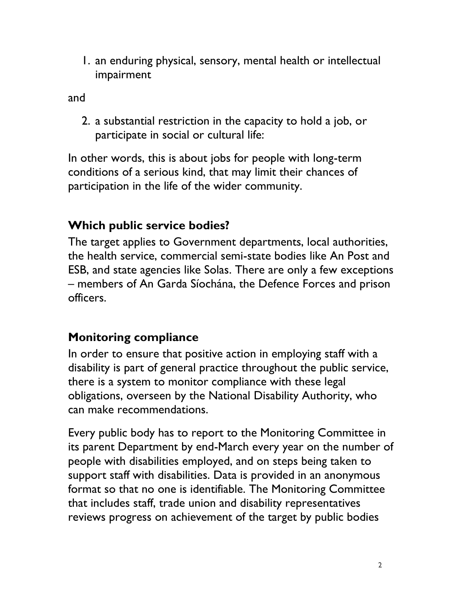1. an enduring physical, sensory, mental health or intellectual impairment

and

2. a substantial restriction in the capacity to hold a job, or participate in social or cultural life:

In other words, this is about jobs for people with long-term conditions of a serious kind, that may limit their chances of participation in the life of the wider community.

# **Which public service bodies?**

The target applies to Government departments, local authorities, the health service, commercial semi-state bodies like An Post and ESB, and state agencies like Solas. There are only a few exceptions – members of An Garda Síochána, the Defence Forces and prison officers.

# **Monitoring compliance**

In order to ensure that positive action in employing staff with a disability is part of general practice throughout the public service, there is a system to monitor compliance with these legal obligations, overseen by the National Disability Authority, who can make recommendations.

Every public body has to report to the Monitoring Committee in its parent Department by end-March every year on the number of people with disabilities employed, and on steps being taken to support staff with disabilities. Data is provided in an anonymous format so that no one is identifiable. The Monitoring Committee that includes staff, trade union and disability representatives reviews progress on achievement of the target by public bodies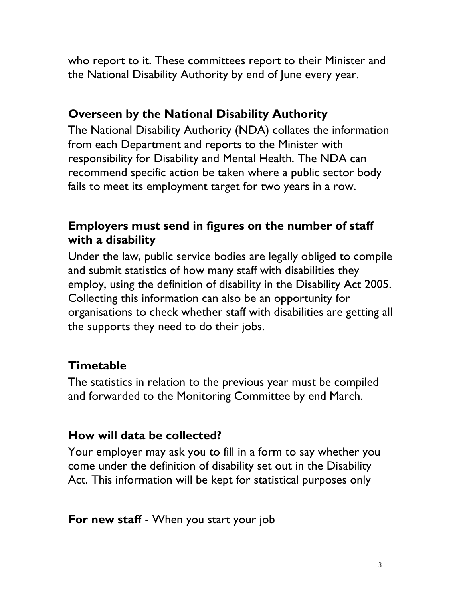who report to it. These committees report to their Minister and the National Disability Authority by end of June every year.

## **Overseen by the National Disability Authority**

The National Disability Authority (NDA) collates the information from each Department and reports to the Minister with responsibility for Disability and Mental Health. The NDA can recommend specific action be taken where a public sector body fails to meet its employment target for two years in a row.

## **Employers must send in figures on the number of staff with a disability**

Under the law, public service bodies are legally obliged to compile and submit statistics of how many staff with disabilities they employ, using the definition of disability in the Disability Act 2005. Collecting this information can also be an opportunity for organisations to check whether staff with disabilities are getting all the supports they need to do their jobs.

# **Timetable**

The statistics in relation to the previous year must be compiled and forwarded to the Monitoring Committee by end March.

## **How will data be collected?**

Your employer may ask you to fill in a form to say whether you come under the definition of disability set out in the Disability Act. This information will be kept for statistical purposes only

**For new staff** - When you start your job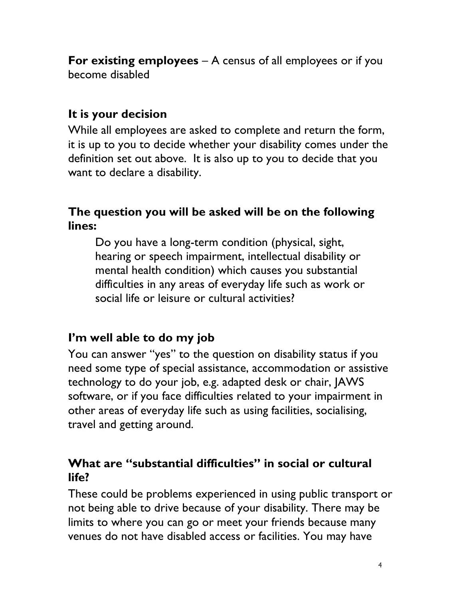**For existing employees** – A census of all employees or if you become disabled

#### **It is your decision**

While all employees are asked to complete and return the form, it is up to you to decide whether your disability comes under the definition set out above. It is also up to you to decide that you want to declare a disability.

#### **The question you will be asked will be on the following lines:**

Do you have a long-term condition (physical, sight, hearing or speech impairment, intellectual disability or mental health condition) which causes you substantial difficulties in any areas of everyday life such as work or social life or leisure or cultural activities?

#### **I'm well able to do my job**

You can answer "yes" to the question on disability status if you need some type of special assistance, accommodation or assistive technology to do your job, e.g. adapted desk or chair, JAWS software, or if you face difficulties related to your impairment in other areas of everyday life such as using facilities, socialising, travel and getting around.

#### **What are "substantial difficulties" in social or cultural life?**

These could be problems experienced in using public transport or not being able to drive because of your disability. There may be limits to where you can go or meet your friends because many venues do not have disabled access or facilities. You may have